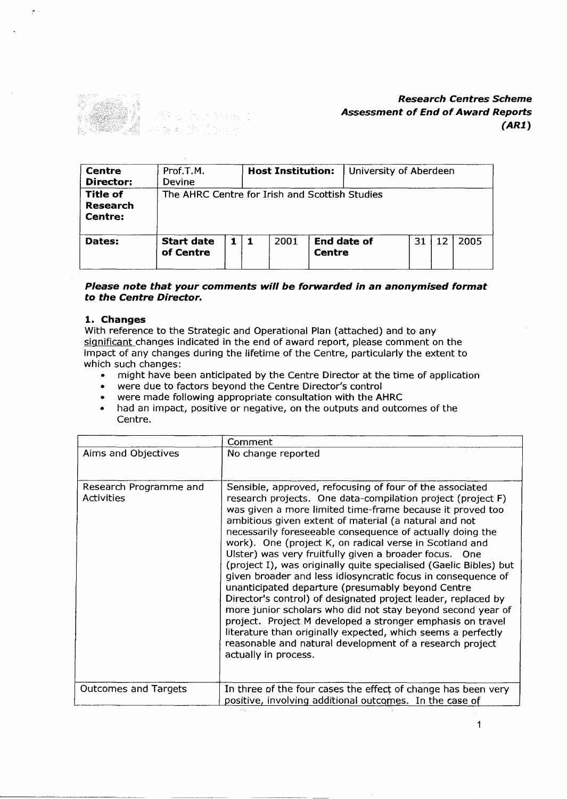

| <b>Centre</b><br>Director:      | Prof.T.M.<br><b>Devine</b>                     |  | <b>Host Institution:</b> |               | University of Aberdeen |    |    |      |
|---------------------------------|------------------------------------------------|--|--------------------------|---------------|------------------------|----|----|------|
| Title of<br>Research<br>Centre: | The AHRC Centre for Irish and Scottish Studies |  |                          |               |                        |    |    |      |
| Dates:                          | <b>Start date</b><br>of Centre                 |  | 2001                     | <b>Centre</b> | <b>End date of</b>     | 31 | 12 | 2005 |

### *Please note that your comments will be forwarded in* **an** *anonymised format to the Centre Director.*

#### **1. Changes**

With reference to the Strategic and Operational Plan (attached) and to any significant changes indicated in the end of award report, please comment on the impact of any changes during the lifetime of the Centre, particularly the extent to which such changes: ch such changes:<br>• might have been anticipated by the Centre Director at the time of applicatio

- might have been anticipated by the Centre Director at were due to factors beyond the Centre Director's control
- 

开始指定的 n San S

- were due to factors beyond the Centre Director's control<br>• were made following appropriate consultation with the AHRC<br>• had an impact positive or pegative, on the outputs and outco
- . had an impact, positive or negative, on the outputs and outcomes of the Centre.

|                                             | Comment                                                                                                                                                                                                                                                                                                                                                                                                                                                                                                                                                                                                                                                                                                                                                                                                                                                                                                                                                                     |
|---------------------------------------------|-----------------------------------------------------------------------------------------------------------------------------------------------------------------------------------------------------------------------------------------------------------------------------------------------------------------------------------------------------------------------------------------------------------------------------------------------------------------------------------------------------------------------------------------------------------------------------------------------------------------------------------------------------------------------------------------------------------------------------------------------------------------------------------------------------------------------------------------------------------------------------------------------------------------------------------------------------------------------------|
| Aims and Objectives                         | No change reported                                                                                                                                                                                                                                                                                                                                                                                                                                                                                                                                                                                                                                                                                                                                                                                                                                                                                                                                                          |
| Research Programme and<br><b>Activities</b> | Sensible, approved, refocusing of four of the associated<br>research projects. One data-compilation project (project F)<br>was given a more limited time-frame because it proved too<br>ambitious given extent of material (a natural and not<br>necessarily foreseeable consequence of actually doing the<br>work). One (project K, on radical verse in Scotland and<br>Ulster) was very fruitfully given a broader focus. One<br>(project I), was originally quite specialised (Gaelic Bibles) but<br>given broader and less idiosyncratic focus in consequence of<br>unanticipated departure (presumably beyond Centre<br>Director's control) of designated project leader, replaced by<br>more junior scholars who did not stay beyond second year of<br>project. Project M developed a stronger emphasis on travel<br>literature than originally expected, which seems a perfectly<br>reasonable and natural development of a research project<br>actually in process. |
| <b>Outcomes and Targets</b>                 | In three of the four cases the effect of change has been very<br>positive, involving additional outcomes. In the case of                                                                                                                                                                                                                                                                                                                                                                                                                                                                                                                                                                                                                                                                                                                                                                                                                                                    |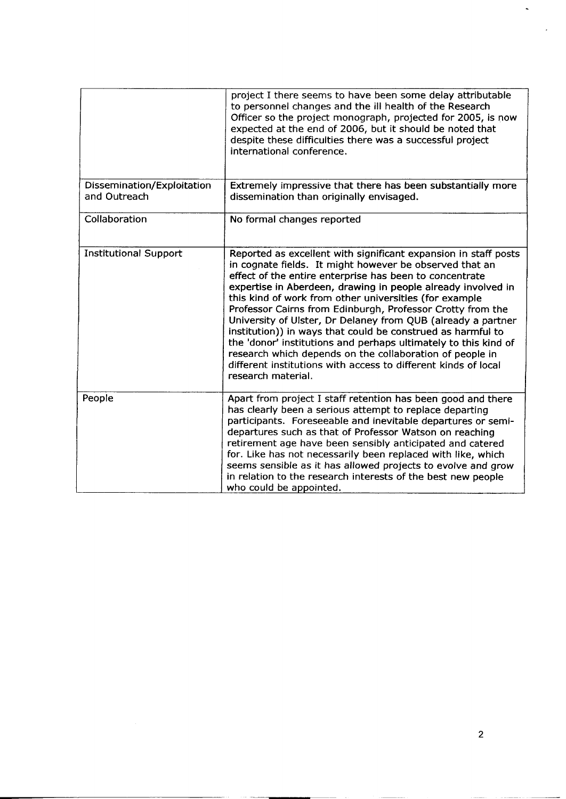|                                            | project I there seems to have been some delay attributable<br>to personnel changes and the ill health of the Research<br>Officer so the project monograph, projected for 2005, is now<br>expected at the end of 2006, but it should be noted that<br>despite these difficulties there was a successful project<br>international conference.                                                                                                                                                                                                                                                                                                                                                                                         |
|--------------------------------------------|-------------------------------------------------------------------------------------------------------------------------------------------------------------------------------------------------------------------------------------------------------------------------------------------------------------------------------------------------------------------------------------------------------------------------------------------------------------------------------------------------------------------------------------------------------------------------------------------------------------------------------------------------------------------------------------------------------------------------------------|
| Dissemination/Exploitation<br>and Outreach | Extremely impressive that there has been substantially more<br>dissemination than originally envisaged.                                                                                                                                                                                                                                                                                                                                                                                                                                                                                                                                                                                                                             |
| Collaboration                              | No formal changes reported                                                                                                                                                                                                                                                                                                                                                                                                                                                                                                                                                                                                                                                                                                          |
| <b>Institutional Support</b>               | Reported as excellent with significant expansion in staff posts<br>in cognate fields. It might however be observed that an<br>effect of the entire enterprise has been to concentrate<br>expertise in Aberdeen, drawing in people already involved in<br>this kind of work from other universities (for example<br>Professor Cairns from Edinburgh, Professor Crotty from the<br>University of Ulster, Dr Delaney from QUB (already a partner<br>institution)) in ways that could be construed as harmful to<br>the 'donor' institutions and perhaps ultimately to this kind of<br>research which depends on the collaboration of people in<br>different institutions with access to different kinds of local<br>research material. |
| People                                     | Apart from project I staff retention has been good and there<br>has clearly been a serious attempt to replace departing<br>participants. Foreseeable and inevitable departures or semi-<br>departures such as that of Professor Watson on reaching<br>retirement age have been sensibly anticipated and catered<br>for. Like has not necessarily been replaced with like, which<br>seems sensible as it has allowed projects to evolve and grow<br>in relation to the research interests of the best new people<br>who could be appointed.                                                                                                                                                                                          |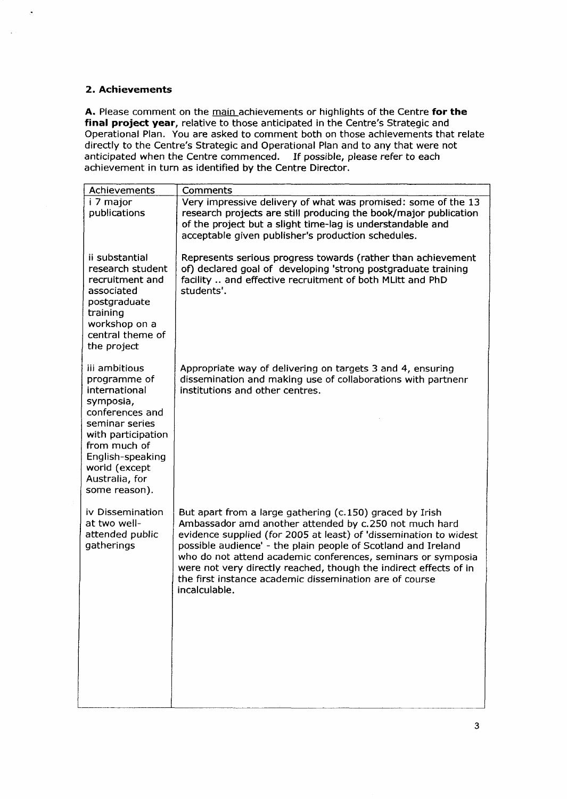# **2. Achievements**

**A.** Please comment on the main achievements or highlights of the Centre **for the final project year,** relative to those anticipated in the Centre's Strategic and Operational Plan. You are asked to comment both on those achievements that relate directly to the Centre's Strategic and Operational Plan and to any that were not anticipated when the Centre commenced. If possible, please refer to each achievement in turn as identified by the Centre Director.

| Achievements                                                                                                                                                                                                   | Comments                                                                                                                                                                                                                                                                                                                                                                                                                                                                  |
|----------------------------------------------------------------------------------------------------------------------------------------------------------------------------------------------------------------|---------------------------------------------------------------------------------------------------------------------------------------------------------------------------------------------------------------------------------------------------------------------------------------------------------------------------------------------------------------------------------------------------------------------------------------------------------------------------|
| i 7 major<br>publications                                                                                                                                                                                      | Very impressive delivery of what was promised: some of the 13<br>research projects are still producing the book/major publication<br>of the project but a slight time-lag is understandable and<br>acceptable given publisher's production schedules.                                                                                                                                                                                                                     |
| ii substantial<br>research student<br>recruitment and<br>associated<br>postgraduate<br>training<br>workshop on a<br>central theme of<br>the project                                                            | Represents serious progress towards (rather than achievement<br>of) declared goal of developing 'strong postgraduate training<br>facility  and effective recruitment of both MLitt and PhD<br>students'.                                                                                                                                                                                                                                                                  |
| iii ambitious<br>programme of<br>international<br>symposia,<br>conferences and<br>seminar series<br>with participation<br>from much of<br>English-speaking<br>world (except<br>Australia, for<br>some reason). | Appropriate way of delivering on targets 3 and 4, ensuring<br>dissemination and making use of collaborations with partnenr<br>institutions and other centres.                                                                                                                                                                                                                                                                                                             |
| iv Dissemination<br>at two well-<br>attended public<br>gatherings                                                                                                                                              | But apart from a large gathering (c.150) graced by Irish<br>Ambassador amd another attended by c.250 not much hard<br>evidence supplied (for 2005 at least) of 'dissemination to widest<br>possible audience' - the plain people of Scotland and Ireland<br>who do not attend academic conferences, seminars or symposia<br>were not very directly reached, though the indirect effects of in<br>the first instance academic dissemination are of course<br>incalculable. |

J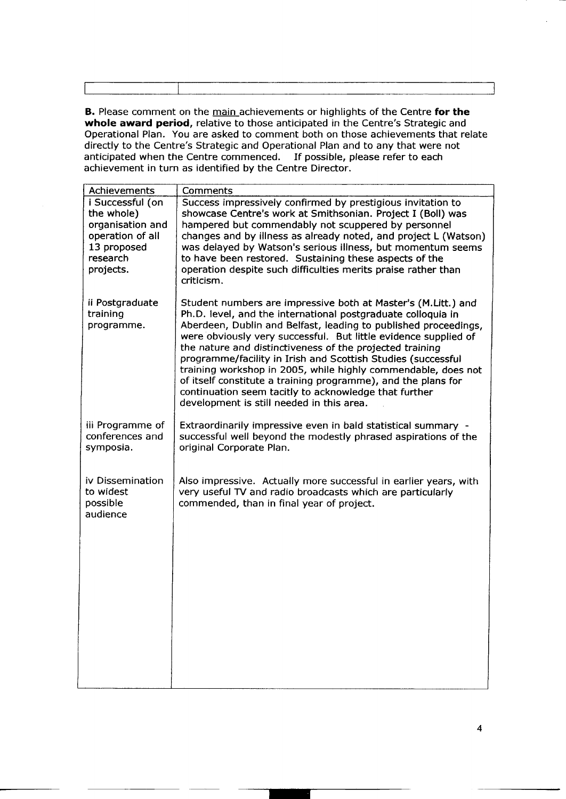|    |           | ______ |  |
|----|-----------|--------|--|
|    |           |        |  |
|    |           |        |  |
|    |           |        |  |
|    |           |        |  |
|    |           |        |  |
|    |           |        |  |
|    |           |        |  |
| __ | --------- |        |  |
|    |           |        |  |
|    |           |        |  |

**B.** Please comment on the main achievements or highlights of the Centre **for the whole award period,** relative to those anticipated in the Centre's Strategic and Operational Plan. You are asked to comment both on those achievements that relate directly to the Centre's Strategic and Operational Plan and to any that were not anticipated when the Centre commenced. If possible, please refer to each achievement in turn as identified by the Centre Director.

| Achievements                                                                                                   | Comments                                                                                                                                                                                                                                                                                                                                                                                                                                                                                                                                                                                                                                |
|----------------------------------------------------------------------------------------------------------------|-----------------------------------------------------------------------------------------------------------------------------------------------------------------------------------------------------------------------------------------------------------------------------------------------------------------------------------------------------------------------------------------------------------------------------------------------------------------------------------------------------------------------------------------------------------------------------------------------------------------------------------------|
| i Successful (on<br>the whole)<br>organisation and<br>operation of all<br>13 proposed<br>research<br>projects. | Success impressively confirmed by prestigious invitation to<br>showcase Centre's work at Smithsonian. Project I (Boll) was<br>hampered but commendably not scuppered by personnel<br>changes and by illness as already noted, and project L (Watson)<br>was delayed by Watson's serious illness, but momentum seems<br>to have been restored. Sustaining these aspects of the<br>operation despite such difficulties merits praise rather than<br>criticism.                                                                                                                                                                            |
| ii Postgraduate<br>training<br>programme.                                                                      | Student numbers are impressive both at Master's (M.Litt.) and<br>Ph.D. level, and the international postgraduate colloquia in<br>Aberdeen, Dublin and Belfast, leading to published proceedings,<br>were obviously very successful. But little evidence supplied of<br>the nature and distinctiveness of the projected training<br>programme/facility in Irish and Scottish Studies (successful<br>training workshop in 2005, while highly commendable, does not<br>of itself constitute a training programme), and the plans for<br>continuation seem tacitly to acknowledge that further<br>development is still needed in this area. |
| iii Programme of<br>conferences and<br>symposia.                                                               | Extraordinarily impressive even in bald statistical summary -<br>successful well beyond the modestly phrased aspirations of the<br>original Corporate Plan.                                                                                                                                                                                                                                                                                                                                                                                                                                                                             |
| iv Dissemination<br>to widest<br>possible<br>audience                                                          | Also impressive. Actually more successful in earlier years, with<br>very useful TV and radio broadcasts which are particularly<br>commended, than in final year of project.                                                                                                                                                                                                                                                                                                                                                                                                                                                             |
|                                                                                                                |                                                                                                                                                                                                                                                                                                                                                                                                                                                                                                                                                                                                                                         |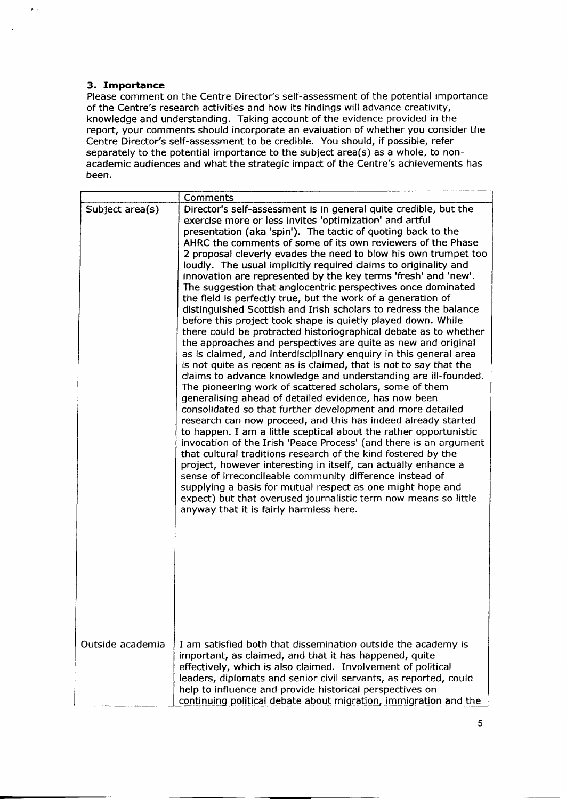# **3. Importance**

Please comment on the Centre Director's self-assessment of the potential importance of the Centre's research activities and how its findings will advance creativity, knowledge and understanding. Taking account of the evidence provided in the report, your comments should incorporate an evaluation of whether you consider the Centre Director's self-assessment to be credible. You should, if possible, refer separately to the potential importance to the subject area(s) as a whole, to nonacademic audiences and what the strategic impact of the Centre's achievements has been.

|                  | Comments                                                                                                                                                                                                                                                                                                                                                                                                                                                                                                                                                                                                                                                                                                                                                                                                                                                                                                                                                                                                                                                                                                                                                                                                                                                                                                                                                                                                                                                                                                                                                                                                                                                                                                                                                                                                                                                        |
|------------------|-----------------------------------------------------------------------------------------------------------------------------------------------------------------------------------------------------------------------------------------------------------------------------------------------------------------------------------------------------------------------------------------------------------------------------------------------------------------------------------------------------------------------------------------------------------------------------------------------------------------------------------------------------------------------------------------------------------------------------------------------------------------------------------------------------------------------------------------------------------------------------------------------------------------------------------------------------------------------------------------------------------------------------------------------------------------------------------------------------------------------------------------------------------------------------------------------------------------------------------------------------------------------------------------------------------------------------------------------------------------------------------------------------------------------------------------------------------------------------------------------------------------------------------------------------------------------------------------------------------------------------------------------------------------------------------------------------------------------------------------------------------------------------------------------------------------------------------------------------------------|
| Subject area(s)  | Director's self-assessment is in general quite credible, but the<br>exercise more or less invites 'optimization' and artful<br>presentation (aka 'spin'). The tactic of quoting back to the<br>AHRC the comments of some of its own reviewers of the Phase<br>2 proposal cleverly evades the need to blow his own trumpet too<br>loudly. The usual implicitly required claims to originality and<br>innovation are represented by the key terms 'fresh' and 'new'.<br>The suggestion that anglocentric perspectives once dominated<br>the field is perfectly true, but the work of a generation of<br>distinguished Scottish and Irish scholars to redress the balance<br>before this project took shape is quietly played down. While<br>there could be protracted historiographical debate as to whether<br>the approaches and perspectives are quite as new and original<br>as is claimed, and interdisciplinary enquiry in this general area<br>is not quite as recent as is claimed, that is not to say that the<br>claims to advance knowledge and understanding are ill-founded.<br>The pioneering work of scattered scholars, some of them<br>generalising ahead of detailed evidence, has now been<br>consolidated so that further development and more detailed<br>research can now proceed, and this has indeed already started<br>to happen. I am a little sceptical about the rather opportunistic<br>invocation of the Irish 'Peace Process' (and there is an argument<br>that cultural traditions research of the kind fostered by the<br>project, however interesting in itself, can actually enhance a<br>sense of irreconcileable community difference instead of<br>supplying a basis for mutual respect as one might hope and<br>expect) but that overused journalistic term now means so little<br>anyway that it is fairly harmless here. |
| Outside academia | I am satisfied both that dissemination outside the academy is<br>important, as claimed, and that it has happened, quite<br>effectively, which is also claimed. Involvement of political<br>leaders, diplomats and senior civil servants, as reported, could<br>help to influence and provide historical perspectives on<br>continuing political debate about migration, immigration and the                                                                                                                                                                                                                                                                                                                                                                                                                                                                                                                                                                                                                                                                                                                                                                                                                                                                                                                                                                                                                                                                                                                                                                                                                                                                                                                                                                                                                                                                     |

5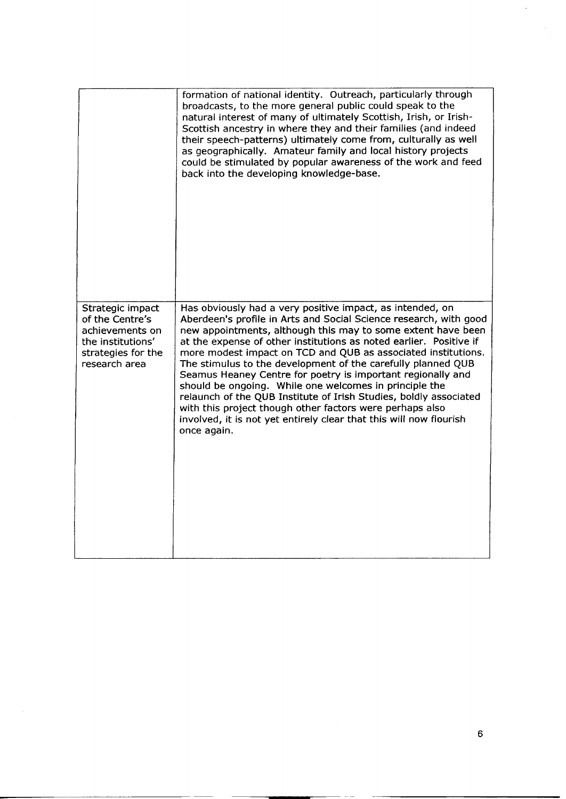|                                                                                                                    | formation of national identity. Outreach, particularly through<br>broadcasts, to the more general public could speak to the<br>natural interest of many of ultimately Scottish, Irish, or Irish-<br>Scottish ancestry in where they and their families (and indeed<br>their speech-patterns) ultimately come from, culturally as well<br>as geographically. Amateur family and local history projects<br>could be stimulated by popular awareness of the work and feed<br>back into the developing knowledge-base.                                                                                                                                                                                                                                   |
|--------------------------------------------------------------------------------------------------------------------|------------------------------------------------------------------------------------------------------------------------------------------------------------------------------------------------------------------------------------------------------------------------------------------------------------------------------------------------------------------------------------------------------------------------------------------------------------------------------------------------------------------------------------------------------------------------------------------------------------------------------------------------------------------------------------------------------------------------------------------------------|
| Strategic impact<br>of the Centre's<br>achievements on<br>the institutions'<br>strategies for the<br>research area | Has obviously had a very positive impact, as intended, on<br>Aberdeen's profile in Arts and Social Science research, with good<br>new appointments, although this may to some extent have been<br>at the expense of other institutions as noted earlier. Positive if<br>more modest impact on TCD and QUB as associated institutions.<br>The stimulus to the development of the carefully planned QUB<br>Seamus Heaney Centre for poetry is important regionally and<br>should be ongoing. While one welcomes in principle the<br>relaunch of the QUB Institute of Irish Studies, boldly associated<br>with this project though other factors were perhaps also<br>involved, it is not yet entirely clear that this will now flourish<br>once again. |
|                                                                                                                    |                                                                                                                                                                                                                                                                                                                                                                                                                                                                                                                                                                                                                                                                                                                                                      |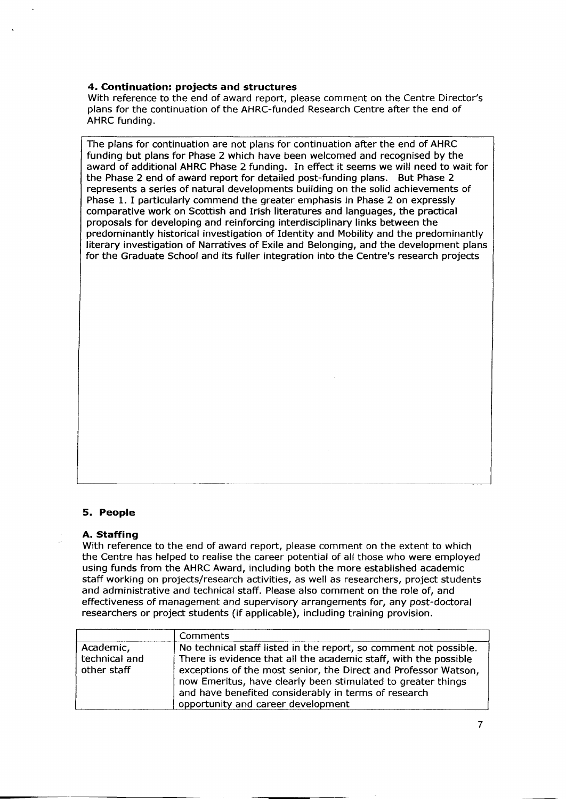# **4. Continuation: projects and structures**

With reference to the end of award report, please comment on the Centre Director's plans for the continuation of the AHRC-funded Research Centre after the end of AHRC funding.

The plans for continuation are not plans for continuation after the end of AHRC funding but plans for Phase 2 which have been welcomed and recognised by the award of additional AHRC Phase 2 funding. In effect it seems we will need to wait for the Phase 2 end of award report for detailed post-funding plans. But Phase 2 represents a series of natural developments building on the solid achievements of Phase 1. I particularly commend the greater emphasis in Phase 2 on expressly comparative work on Scottish and Irish literatures and languages, the practical proposals for developing and reinforcing interdisciplinary links between the predominantly historical investigation of Identity and Mobility and the predominantly literary investigation of Narratives of Exile and Belonging, and the development plans for the Graduate School and its fuller integration into the Centre's research projects

# **5. People**

#### **A. Staffing**

With reference to the end of award report, please comment on the extent to which the Centre has helped to realise the career potential of all those who were employed using funds from the AHRC Award, including both the more established academic staff working on projects/research activities, as well as researchers, project students and administrative and technical staff. Please also comment on the role of, and effectiveness of management and supervisory arrangements for, any post-doctoral researchers or project students (if applicable), including training provision.

|                                           | <b>Comments</b>                                                                                                                                                                                                                                                                                                                                                        |
|-------------------------------------------|------------------------------------------------------------------------------------------------------------------------------------------------------------------------------------------------------------------------------------------------------------------------------------------------------------------------------------------------------------------------|
| Academic,<br>technical and<br>other staff | No technical staff listed in the report, so comment not possible.<br>There is evidence that all the academic staff, with the possible<br>exceptions of the most senior, the Direct and Professor Watson,<br>now Emeritus, have clearly been stimulated to greater things<br>and have benefited considerably in terms of research<br>opportunity and career development |

7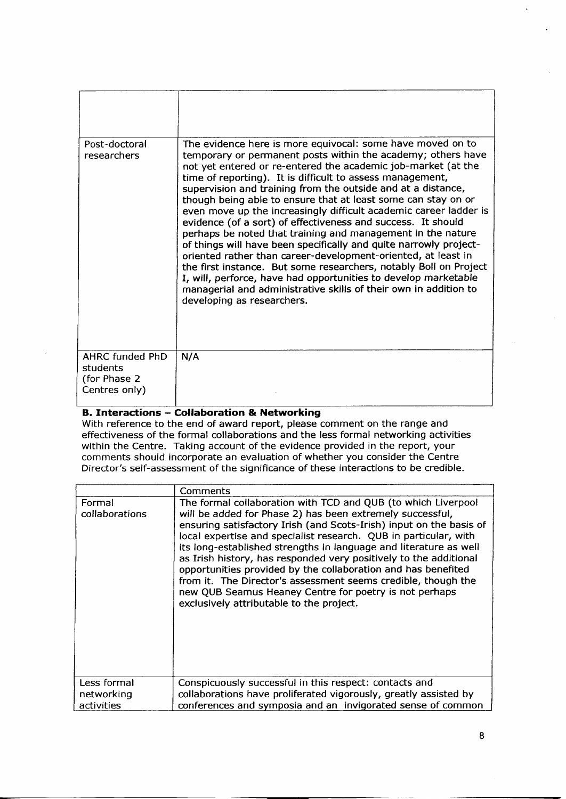| Post-doctoral<br>researchers                                         | The evidence here is more equivocal: some have moved on to<br>temporary or permanent posts within the academy; others have<br>not yet entered or re-entered the academic job-market (at the<br>time of reporting). It is difficult to assess management,<br>supervision and training from the outside and at a distance,<br>though being able to ensure that at least some can stay on or<br>even move up the increasingly difficult academic career ladder is<br>evidence (of a sort) of effectiveness and success. It should<br>perhaps be noted that training and management in the nature<br>of things will have been specifically and quite narrowly project-<br>oriented rather than career-development-oriented, at least in<br>the first instance. But some researchers, notably Boll on Project<br>I, will, perforce, have had opportunities to develop marketable<br>managerial and administrative skills of their own in addition to<br>developing as researchers. |
|----------------------------------------------------------------------|-------------------------------------------------------------------------------------------------------------------------------------------------------------------------------------------------------------------------------------------------------------------------------------------------------------------------------------------------------------------------------------------------------------------------------------------------------------------------------------------------------------------------------------------------------------------------------------------------------------------------------------------------------------------------------------------------------------------------------------------------------------------------------------------------------------------------------------------------------------------------------------------------------------------------------------------------------------------------------|
| <b>AHRC funded PhD</b><br>students<br>(for Phase 2)<br>Centres only) | N/A                                                                                                                                                                                                                                                                                                                                                                                                                                                                                                                                                                                                                                                                                                                                                                                                                                                                                                                                                                           |

# **B. Interactions - Collaboration & Networking**

With reference to the end of award report, please comment on the range and effectiveness of the formal collaborations and the less formal networking activities within the Centre. Taking account of the evidence provided in the report, your comments should incorporate an evaluation of whether you consider the Centre Director's self-assessment of the significance of these interactions to be credible.

|                                         | Comments                                                                                                                                                                                                                                                                                                                                                                                                                                                                                                                                                                                                                                                |
|-----------------------------------------|---------------------------------------------------------------------------------------------------------------------------------------------------------------------------------------------------------------------------------------------------------------------------------------------------------------------------------------------------------------------------------------------------------------------------------------------------------------------------------------------------------------------------------------------------------------------------------------------------------------------------------------------------------|
| Formal<br>collaborations                | The formal collaboration with TCD and QUB (to which Liverpool<br>will be added for Phase 2) has been extremely successful,<br>ensuring satisfactory Irish (and Scots-Irish) input on the basis of<br>local expertise and specialist research. QUB in particular, with<br>its long-established strengths in language and literature as well<br>as Irish history, has responded very positively to the additional<br>opportunities provided by the collaboration and has benefited<br>from it. The Director's assessment seems credible, though the<br>new QUB Seamus Heaney Centre for poetry is not perhaps<br>exclusively attributable to the project. |
| Less formal<br>networking<br>activities | Conspicuously successful in this respect: contacts and<br>collaborations have proliferated vigorously, greatly assisted by<br>conferences and symposia and an invigorated sense of common                                                                                                                                                                                                                                                                                                                                                                                                                                                               |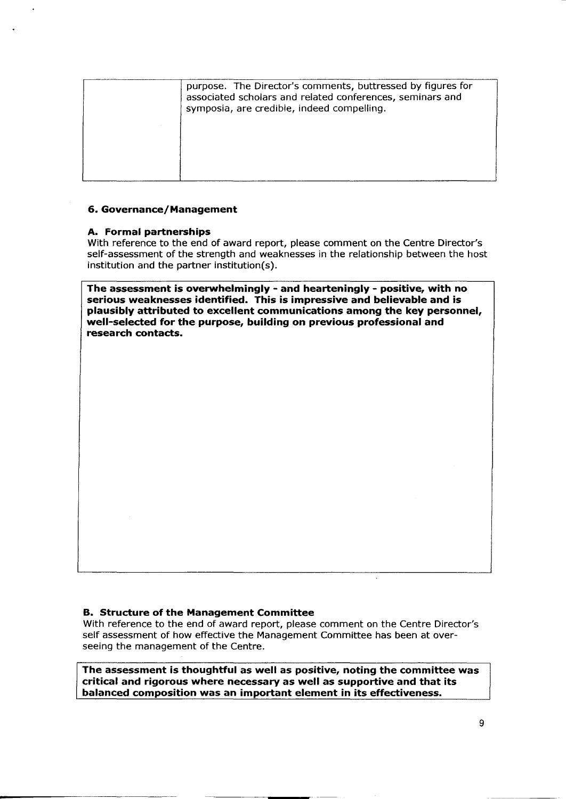| purpose. The Director's comments, buttressed by figures for                                             |
|---------------------------------------------------------------------------------------------------------|
| associated scholars and related conferences, seminars and<br>symposia, are credible, indeed compelling. |
|                                                                                                         |
|                                                                                                         |

#### **6. Governance/ Management**

#### **A. Formal partnerships**

With reference to the end of award report, please comment on the Centre Director's self-assessment of the strength and weaknesses in the relationship between the host institution and the partner institution(s).

**The assessment is overwhelmingly - and hearteningly - positive, with no serious weaknesses identified. This is impressive and believable and is plausibly attributed to excellent communications among the key personnel, well-selected for the purpose, building on previous professional and research contacts.**

### **B. Structure of the Management Committee**

With reference to the end of award report, please comment on the Centre Director's self assessment of how effective the Management Committee has been at overseeing the management of the Centre.

**The assessment is thoughtful as well as positive, noting the committee was criticaland rigorous where necessary as well as supportive and that its balanced composition was an important element in itseffectiveness.**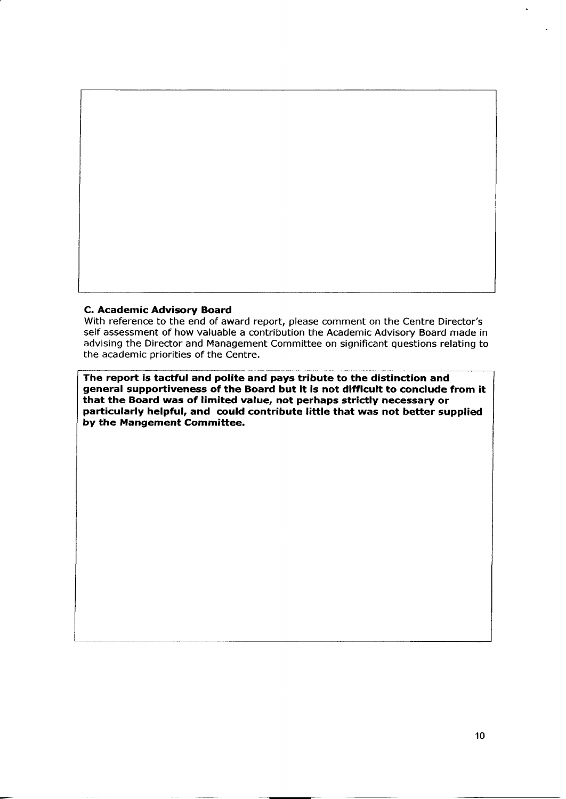#### **C. Academic Advisory Board**

With reference to the end of award report, please comment on the Centre Director's self assessment of how valuable a contribution the Academic Advisory Board made in advising the Director and Management Committee on significant questions relating to the academic priorities of the Centre.

**The report is tactful and polite and pays tribute to the distinction and general supportiveness of the Board but it is not difficult to conclude from it that the Board was of limited value, not perhaps strictly necessary or particularly helpful, and could contribute little that was not better supplied by the Mangement Committee.**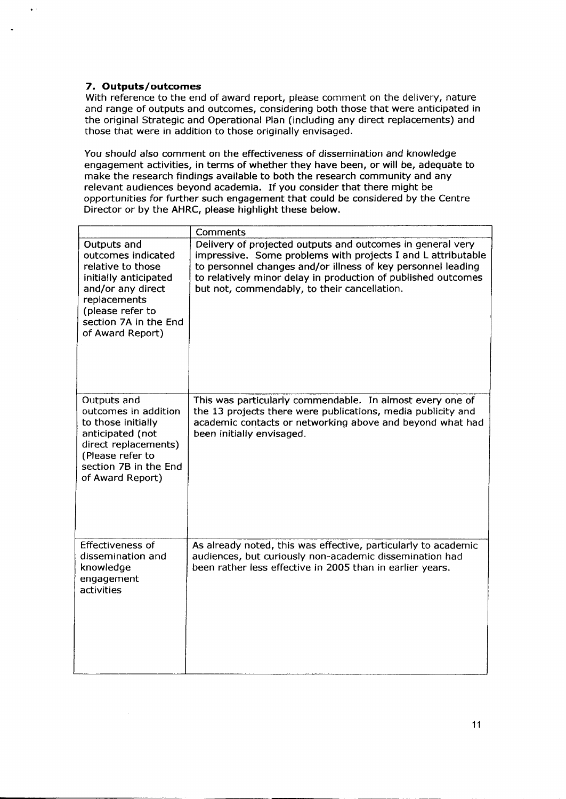# 7. **Outputs/outcomes**

With reference to the end of award report, please comment on the delivery, nature and range of outputs and outcomes, considering both those that were anticipated in the original Strategic and Operational Plan (including any direct replacements) and those that were in addition to those originally envisaged.

You should also comment on the effectiveness of dissemination and knowledge engagement activities, in terms of whether they have been, or will be, adequate to make the research findings available to both the research community and any relevant audiences beyond academia. If you consider that there might be opportunities for further such engagement that could be considered by the Centre Director or by the AHRC, please highlight these below.

|                                                                                                                                                                                       | Comments                                                                                                                                                                                                                                                                                                    |
|---------------------------------------------------------------------------------------------------------------------------------------------------------------------------------------|-------------------------------------------------------------------------------------------------------------------------------------------------------------------------------------------------------------------------------------------------------------------------------------------------------------|
| Outputs and<br>outcomes indicated<br>relative to those<br>initially anticipated<br>and/or any direct<br>replacements<br>(please refer to<br>section 7A in the End<br>of Award Report) | Delivery of projected outputs and outcomes in general very<br>impressive. Some problems with projects I and L attributable<br>to personnel changes and/or illness of key personnel leading<br>to relatively minor delay in production of published outcomes<br>but not, commendably, to their cancellation. |
| Outputs and<br>outcomes in addition<br>to those initially<br>anticipated (not<br>direct replacements)<br>(Please refer to<br>section 7B in the End<br>of Award Report)                | This was particularly commendable. In almost every one of<br>the 13 projects there were publications, media publicity and<br>academic contacts or networking above and beyond what had<br>been initially envisaged.                                                                                         |
| <b>Effectiveness of</b><br>dissemination and<br>knowledge<br>engagement<br>activities                                                                                                 | As already noted, this was effective, particularly to academic<br>audiences, but curiously non-academic dissemination had<br>been rather less effective in 2005 than in earlier years.                                                                                                                      |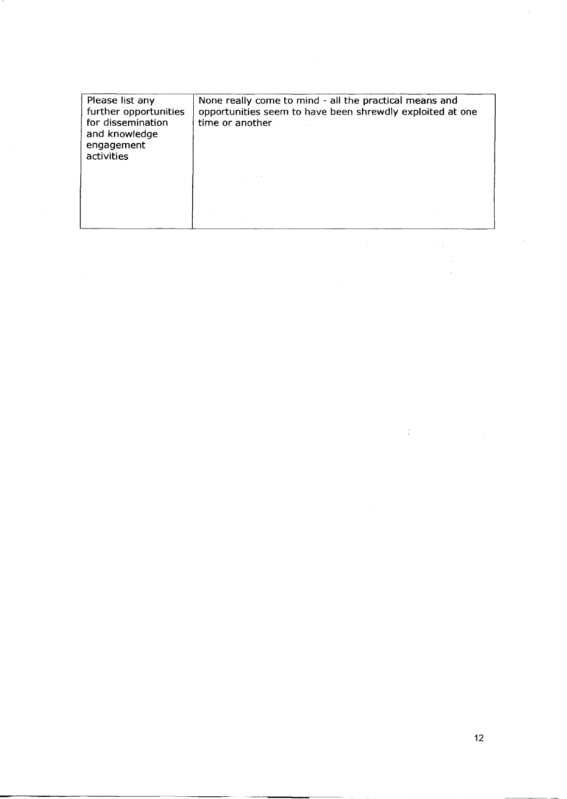| Please list any<br>further opportunities<br>for dissemination<br>and knowledge<br>engagement<br>activities | None really come to mind - all the practical means and<br>opportunities seem to have been shrewdly exploited at one<br>time or another |
|------------------------------------------------------------------------------------------------------------|----------------------------------------------------------------------------------------------------------------------------------------|
|                                                                                                            |                                                                                                                                        |

r